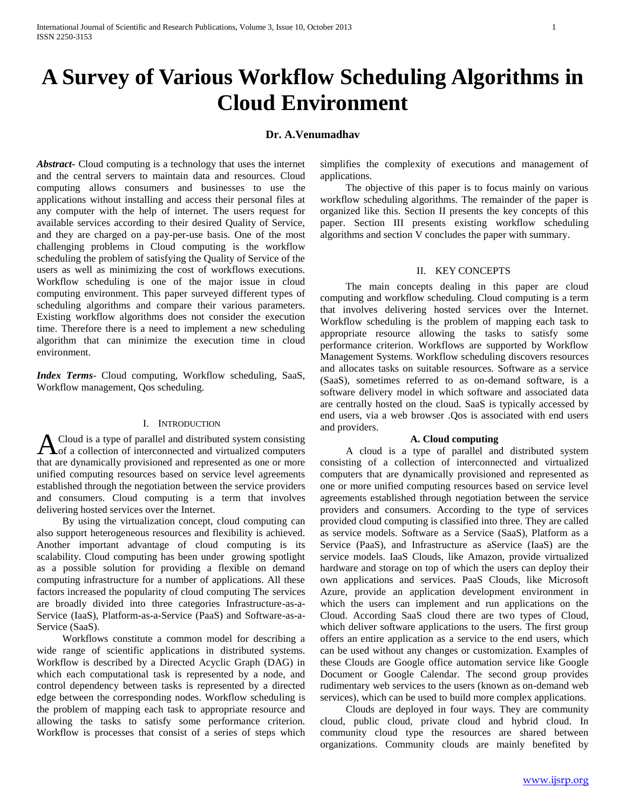# **A Survey of Various Workflow Scheduling Algorithms in Cloud Environment**

# **Dr. A.Venumadhav**

*Abstract***-** Cloud computing is a technology that uses the internet and the central servers to maintain data and resources. Cloud computing allows consumers and businesses to use the applications without installing and access their personal files at any computer with the help of internet. The users request for available services according to their desired Quality of Service, and they are charged on a pay-per-use basis. One of the most challenging problems in Cloud computing is the workflow scheduling the problem of satisfying the Quality of Service of the users as well as minimizing the cost of workflows executions. Workflow scheduling is one of the major issue in cloud computing environment. This paper surveyed different types of scheduling algorithms and compare their various parameters. Existing workflow algorithms does not consider the execution time. Therefore there is a need to implement a new scheduling algorithm that can minimize the execution time in cloud environment.

*Index Terms*- Cloud computing, Workflow scheduling, SaaS, Workflow management, Qos scheduling.

#### I. INTRODUCTION

Cloud is a type of parallel and distributed system consisting A Cloud is a type of parallel and distributed system consisting<br>of a collection of interconnected and virtualized computers that are dynamically provisioned and represented as one or more unified computing resources based on service level agreements established through the negotiation between the service providers and consumers. Cloud computing is a term that involves delivering hosted services over the Internet.

 By using the virtualization concept, cloud computing can also support heterogeneous resources and flexibility is achieved. Another important advantage of cloud computing is its scalability. Cloud computing has been under growing spotlight as a possible solution for providing a flexible on demand computing infrastructure for a number of applications. All these factors increased the popularity of cloud computing The services are broadly divided into three categories Infrastructure-as-a-Service (IaaS), Platform-as-a-Service (PaaS) and Software-as-a-Service (SaaS).

 Workflows constitute a common model for describing a wide range of scientific applications in distributed systems. Workflow is described by a Directed Acyclic Graph (DAG) in which each computational task is represented by a node, and control dependency between tasks is represented by a directed edge between the corresponding nodes. Workflow scheduling is the problem of mapping each task to appropriate resource and allowing the tasks to satisfy some performance criterion. Workflow is processes that consist of a series of steps which

simplifies the complexity of executions and management of applications.

 The objective of this paper is to focus mainly on various workflow scheduling algorithms. The remainder of the paper is organized like this. Section II presents the key concepts of this paper. Section III presents existing workflow scheduling algorithms and section V concludes the paper with summary.

## II. KEY CONCEPTS

 The main concepts dealing in this paper are cloud computing and workflow scheduling. Cloud computing is a term that involves delivering hosted services over the Internet. Workflow scheduling is the problem of mapping each task to appropriate resource allowing the tasks to satisfy some performance criterion. Workflows are supported by Workflow Management Systems. Workflow scheduling discovers resources and allocates tasks on suitable resources. Software as a service (SaaS), sometimes referred to as on-demand software, is a software delivery model in which software and associated data are centrally hosted on the cloud. SaaS is typically accessed by end users, via a web browser .Qos is associated with end users and providers.

### **A. Cloud computing**

 A cloud is a type of parallel and distributed system consisting of a collection of interconnected and virtualized computers that are dynamically provisioned and represented as one or more unified computing resources based on service level agreements established through negotiation between the service providers and consumers. According to the type of services provided cloud computing is classified into three. They are called as service models. Software as a Service (SaaS), Platform as a Service (PaaS), and Infrastructure as aService (IaaS) are the service models. IaaS Clouds, like Amazon, provide virtualized hardware and storage on top of which the users can deploy their own applications and services. PaaS Clouds, like Microsoft Azure, provide an application development environment in which the users can implement and run applications on the Cloud. According SaaS cloud there are two types of Cloud, which deliver software applications to the users. The first group offers an entire application as a service to the end users, which can be used without any changes or customization. Examples of these Clouds are Google office automation service like Google Document or Google Calendar. The second group provides rudimentary web services to the users (known as on-demand web services), which can be used to build more complex applications.

 Clouds are deployed in four ways. They are community cloud, public cloud, private cloud and hybrid cloud. In community cloud type the resources are shared between organizations. Community clouds are mainly benefited by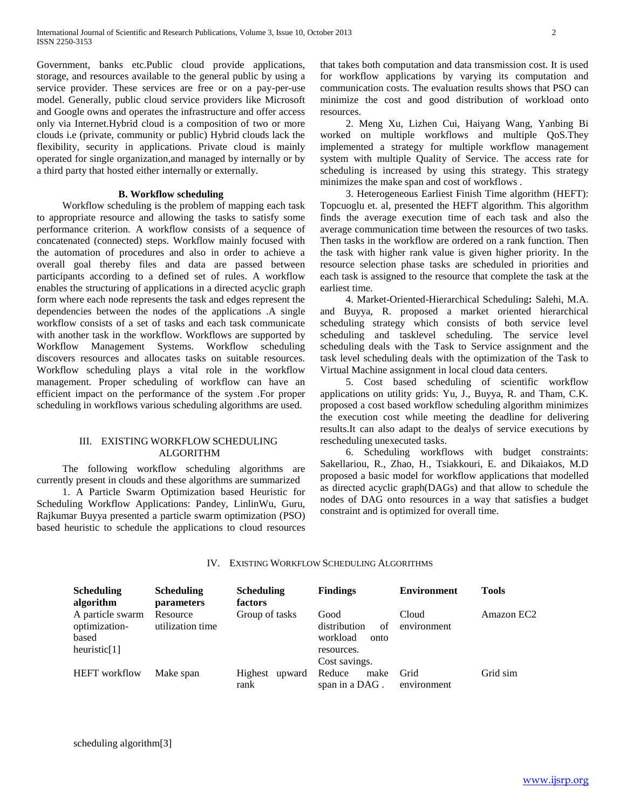Government, banks etc.Public cloud provide applications, storage, and resources available to the general public by using a service provider. These services are free or on a pay-per-use model. Generally, public cloud service providers like Microsoft and Google owns and operates the infrastructure and offer access only via Internet.Hybrid cloud is a composition of two or more clouds i.e (private, community or public) Hybrid clouds lack the flexibility, security in applications. Private cloud is mainly operated for single organization,and managed by internally or by a third party that hosted either internally or externally.

## **B. Workflow scheduling**

 Workflow scheduling is the problem of mapping each task to appropriate resource and allowing the tasks to satisfy some performance criterion. A workflow consists of a sequence of concatenated (connected) steps. Workflow mainly focused with the automation of procedures and also in order to achieve a overall goal thereby files and data are passed between participants according to a defined set of rules. A workflow enables the structuring of applications in a directed acyclic graph form where each node represents the task and edges represent the dependencies between the nodes of the applications .A single workflow consists of a set of tasks and each task communicate with another task in the workflow. Workflows are supported by Workflow Management Systems. Workflow scheduling discovers resources and allocates tasks on suitable resources. Workflow scheduling plays a vital role in the workflow management. Proper scheduling of workflow can have an efficient impact on the performance of the system .For proper scheduling in workflows various scheduling algorithms are used.

## III. EXISTING WORKFLOW SCHEDULING ALGORITHM

 The following workflow scheduling algorithms are currently present in clouds and these algorithms are summarized

 1. A Particle Swarm Optimization based Heuristic for Scheduling Workflow Applications: Pandey, LinlinWu, Guru, Rajkumar Buyya presented a particle swarm optimization (PSO) based heuristic to schedule the applications to cloud resources that takes both computation and data transmission cost. It is used for workflow applications by varying its computation and communication costs. The evaluation results shows that PSO can minimize the cost and good distribution of workload onto resources.

 2. Meng Xu, Lizhen Cui, Haiyang Wang, Yanbing Bi worked on multiple workflows and multiple QoS.They implemented a strategy for multiple workflow management system with multiple Quality of Service. The access rate for scheduling is increased by using this strategy. This strategy minimizes the make span and cost of workflows .

 3. Heterogeneous Earliest Finish Time algorithm (HEFT): Topcuoglu et. al, presented the HEFT algorithm. This algorithm finds the average execution time of each task and also the average communication time between the resources of two tasks. Then tasks in the workflow are ordered on a rank function. Then the task with higher rank value is given higher priority. In the resource selection phase tasks are scheduled in priorities and each task is assigned to the resource that complete the task at the earliest time.

 4. Market-Oriented-Hierarchical Scheduling**:** Salehi, M.A. and Buyya, R. proposed a market oriented hierarchical scheduling strategy which consists of both service level scheduling and tasklevel scheduling. The service level scheduling deals with the Task to Service assignment and the task level scheduling deals with the optimization of the Task to Virtual Machine assignment in local cloud data centers.

 5. Cost based scheduling of scientific workflow applications on utility grids: Yu, J., Buyya, R. and Tham, C.K. proposed a cost based workflow scheduling algorithm minimizes the execution cost while meeting the deadline for delivering results.It can also adapt to the dealys of service executions by rescheduling unexecuted tasks.

 6. Scheduling workflows with budget constraints: Sakellariou, R., Zhao, H., Tsiakkouri, E. and Dikaiakos, M.D proposed a basic model for workflow applications that modelled as directed acyclic graph(DAGs) and that allow to schedule the nodes of DAG onto resources in a way that satisfies a budget constraint and is optimized for overall time.

|  |  |  |  | IV. EXISTING WORKFLOW SCHEDULING ALGORITHMS |
|--|--|--|--|---------------------------------------------|
|--|--|--|--|---------------------------------------------|

| <b>Scheduling</b><br>algorithm                                | <b>Scheduling</b><br>parameters | <b>Scheduling</b><br>factors | <b>Findings</b>                                              | <b>Environment</b>   | <b>Tools</b> |
|---------------------------------------------------------------|---------------------------------|------------------------------|--------------------------------------------------------------|----------------------|--------------|
| A particle swarm<br>optimization-<br>based<br>heuristic $[1]$ | Resource<br>utilization time    | Group of tasks               | Good<br>distribution<br>of<br>workload<br>onto<br>resources. | Cloud<br>environment | Amazon EC2   |
| <b>HEFT</b> workflow                                          | Make span                       | Highest<br>upward<br>rank    | Cost savings.<br>Reduce<br>make<br>span in a DAG.            | Grid<br>environment  | Grid sim     |